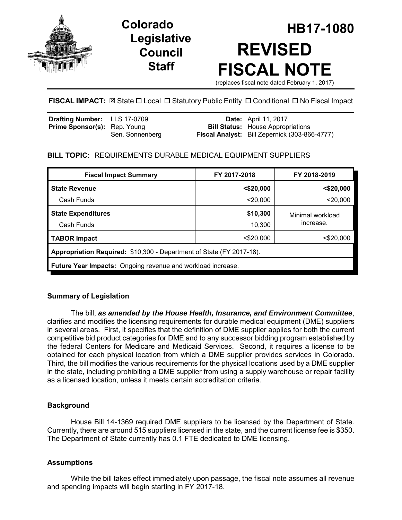

# **Legislative Council Staff**

# **HB17-1080 Colorado REVISED FISCAL NOTE** (replaces fiscal note dated February 1, 2017)

**FISCAL IMPACT:** ⊠ State □ Local □ Statutory Public Entity □ Conditional □ No Fiscal Impact

| <b>Drafting Number:</b> LLS 17-0709 |                 | <b>Date:</b> April 11, 2017                          |
|-------------------------------------|-----------------|------------------------------------------------------|
| <b>Prime Sponsor(s): Rep. Young</b> |                 | <b>Bill Status:</b> House Appropriations             |
|                                     | Sen. Sonnenberg | <b>Fiscal Analyst:</b> Bill Zepernick (303-866-4777) |

# **BILL TOPIC:** REQUIREMENTS DURABLE MEDICAL EQUIPMENT SUPPLIERS

| <b>Fiscal Impact Summary</b>                                         | FY 2017-2018 | FY 2018-2019                  |  |  |  |
|----------------------------------------------------------------------|--------------|-------------------------------|--|--|--|
| <b>State Revenue</b>                                                 | $<$ \$20,000 | $<$ \$20,000                  |  |  |  |
| Cash Funds                                                           | $<$ 20,000   | $<$ 20,000                    |  |  |  |
| <b>State Expenditures</b>                                            | \$10,300     | Minimal workload<br>increase. |  |  |  |
| Cash Funds                                                           | 10,300       |                               |  |  |  |
| <b>TABOR Impact</b>                                                  | $<$ \$20,000 | <\$20,000                     |  |  |  |
| Appropriation Required: \$10,300 - Department of State (FY 2017-18). |              |                               |  |  |  |
| <b>Future Year Impacts:</b> Ongoing revenue and workload increase.   |              |                               |  |  |  |

# **Summary of Legislation**

The bill, *as amended by the House Health, Insurance, and Environment Committee*, clarifies and modifies the licensing requirements for durable medical equipment (DME) suppliers in several areas. First, it specifies that the definition of DME supplier applies for both the current competitive bid product categories for DME and to any successor bidding program established by the federal Centers for Medicare and Medicaid Services. Second, it requires a license to be obtained for each physical location from which a DME supplier provides services in Colorado. Third, the bill modifies the various requirements for the physical locations used by a DME supplier in the state, including prohibiting a DME supplier from using a supply warehouse or repair facility as a licensed location, unless it meets certain accreditation criteria.

# **Background**

House Bill 14-1369 required DME suppliers to be licensed by the Department of State. Currently, there are around 515 suppliers licensed in the state, and the current license fee is \$350. The Department of State currently has 0.1 FTE dedicated to DME licensing.

# **Assumptions**

While the bill takes effect immediately upon passage, the fiscal note assumes all revenue and spending impacts will begin starting in FY 2017-18.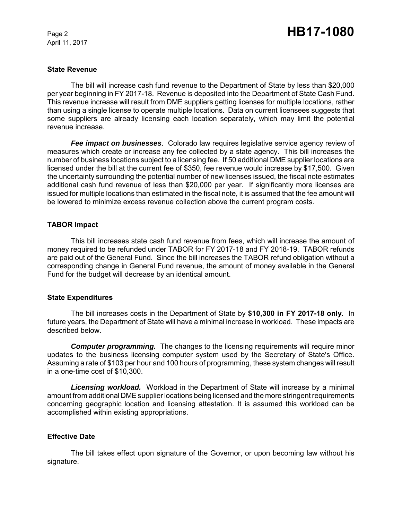April 11, 2017

#### **State Revenue**

The bill will increase cash fund revenue to the Department of State by less than \$20,000 per year beginning in FY 2017-18. Revenue is deposited into the Department of State Cash Fund. This revenue increase will result from DME suppliers getting licenses for multiple locations, rather than using a single license to operate multiple locations. Data on current licensees suggests that some suppliers are already licensing each location separately, which may limit the potential revenue increase.

*Fee impact on businesses*. Colorado law requires legislative service agency review of measures which create or increase any fee collected by a state agency. This bill increases the number of business locations subject to a licensing fee. If 50 additional DME supplier locations are licensed under the bill at the current fee of \$350, fee revenue would increase by \$17,500. Given the uncertainty surrounding the potential number of new licenses issued, the fiscal note estimates additional cash fund revenue of less than \$20,000 per year. If significantly more licenses are issued for multiple locations than estimated in the fiscal note, it is assumed that the fee amount will be lowered to minimize excess revenue collection above the current program costs.

#### **TABOR Impact**

This bill increases state cash fund revenue from fees, which will increase the amount of money required to be refunded under TABOR for FY 2017-18 and FY 2018-19. TABOR refunds are paid out of the General Fund. Since the bill increases the TABOR refund obligation without a corresponding change in General Fund revenue, the amount of money available in the General Fund for the budget will decrease by an identical amount.

#### **State Expenditures**

The bill increases costs in the Department of State by **\$10,300 in FY 2017-18 only.** In future years, the Department of State will have a minimal increase in workload. These impacts are described below.

**Computer programming.** The changes to the licensing requirements will require minor updates to the business licensing computer system used by the Secretary of State's Office. Assuming a rate of \$103 per hour and 100 hours of programming, these system changes will result in a one-time cost of \$10,300.

*Licensing workload.* Workload in the Department of State will increase by a minimal amount from additional DME supplier locations being licensed and the more stringent requirements concerning geographic location and licensing attestation. It is assumed this workload can be accomplished within existing appropriations.

#### **Effective Date**

The bill takes effect upon signature of the Governor, or upon becoming law without his signature.